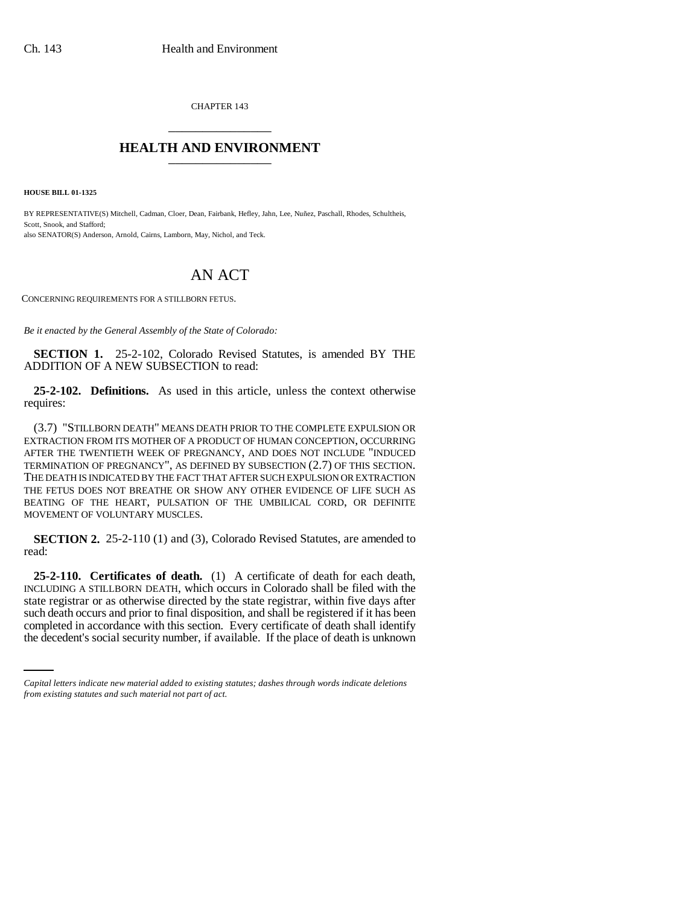CHAPTER 143 \_\_\_\_\_\_\_\_\_\_\_\_\_\_\_

## **HEALTH AND ENVIRONMENT** \_\_\_\_\_\_\_\_\_\_\_\_\_\_\_

**HOUSE BILL 01-1325**

BY REPRESENTATIVE(S) Mitchell, Cadman, Cloer, Dean, Fairbank, Hefley, Jahn, Lee, Nuñez, Paschall, Rhodes, Schultheis, Scott, Snook, and Stafford; also SENATOR(S) Anderson, Arnold, Cairns, Lamborn, May, Nichol, and Teck.

## AN ACT

CONCERNING REQUIREMENTS FOR A STILLBORN FETUS.

*Be it enacted by the General Assembly of the State of Colorado:*

**SECTION 1.** 25-2-102, Colorado Revised Statutes, is amended BY THE ADDITION OF A NEW SUBSECTION to read:

**25-2-102. Definitions.** As used in this article, unless the context otherwise requires:

(3.7) "STILLBORN DEATH" MEANS DEATH PRIOR TO THE COMPLETE EXPULSION OR EXTRACTION FROM ITS MOTHER OF A PRODUCT OF HUMAN CONCEPTION, OCCURRING AFTER THE TWENTIETH WEEK OF PREGNANCY, AND DOES NOT INCLUDE "INDUCED TERMINATION OF PREGNANCY", AS DEFINED BY SUBSECTION (2.7) OF THIS SECTION. THE DEATH IS INDICATED BY THE FACT THAT AFTER SUCH EXPULSION OR EXTRACTION THE FETUS DOES NOT BREATHE OR SHOW ANY OTHER EVIDENCE OF LIFE SUCH AS BEATING OF THE HEART, PULSATION OF THE UMBILICAL CORD, OR DEFINITE MOVEMENT OF VOLUNTARY MUSCLES.

**SECTION 2.** 25-2-110 (1) and (3), Colorado Revised Statutes, are amended to read:

such death occurs and prior to final disposition, and shall be registered if it has been **25-2-110. Certificates of death.** (1) A certificate of death for each death, INCLUDING A STILLBORN DEATH, which occurs in Colorado shall be filed with the state registrar or as otherwise directed by the state registrar, within five days after completed in accordance with this section. Every certificate of death shall identify the decedent's social security number, if available. If the place of death is unknown

*Capital letters indicate new material added to existing statutes; dashes through words indicate deletions from existing statutes and such material not part of act.*